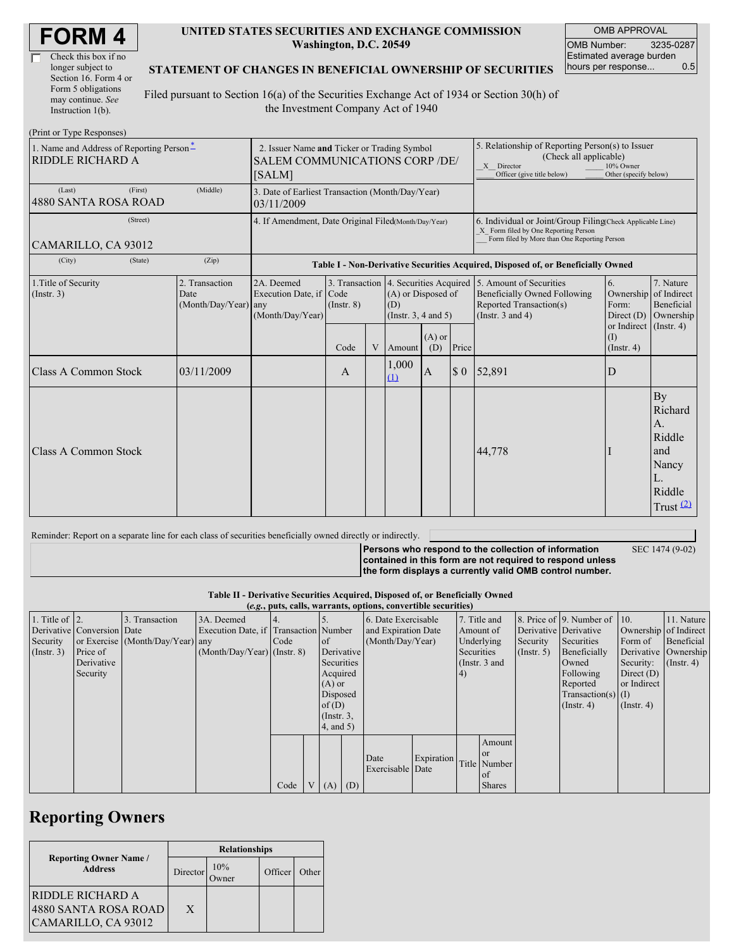| Check this box if no  |
|-----------------------|
| longer subject to     |
| Section 16. Form 4 or |
| Form 5 obligations    |
| may continue. See     |
| Instruction 1(b).     |

 $(D_{\text{rint}} \text{ or } \text{T}$ yne  $D_{\ell}$ 

#### **UNITED STATES SECURITIES AND EXCHANGE COMMISSION Washington, D.C. 20549**

OMB APPROVAL OMB Number: 3235-0287 Estimated average burden hours per response... 0.5

### **STATEMENT OF CHANGES IN BENEFICIAL OWNERSHIP OF SECURITIES**

Filed pursuant to Section 16(a) of the Securities Exchange Act of 1934 or Section 30(h) of the Investment Company Act of 1940

| $\pm 1$ mu or $\pm$ ypc incsponses<br>1. Name and Address of Reporting Person-<br>RIDDLE RICHARD A | 2. Issuer Name and Ticker or Trading Symbol<br><b>SALEM COMMUNICATIONS CORP /DE/</b><br>[SALM] |                                                                |                 |   |                                                                                                |                 | 5. Relationship of Reporting Person(s) to Issuer<br>(Check all applicable)<br>X Director<br>Officer (give title below) | 10% Owner<br>Other (specify below)                                                                                                                 |                                              |                                                                              |  |
|----------------------------------------------------------------------------------------------------|------------------------------------------------------------------------------------------------|----------------------------------------------------------------|-----------------|---|------------------------------------------------------------------------------------------------|-----------------|------------------------------------------------------------------------------------------------------------------------|----------------------------------------------------------------------------------------------------------------------------------------------------|----------------------------------------------|------------------------------------------------------------------------------|--|
| (First)<br>(Last)<br>4880 SANTA ROSA ROAD                                                          | (Middle)                                                                                       | 3. Date of Earliest Transaction (Month/Day/Year)<br>03/11/2009 |                 |   |                                                                                                |                 |                                                                                                                        |                                                                                                                                                    |                                              |                                                                              |  |
| (Street)<br>CAMARILLO, CA 93012                                                                    |                                                                                                | 4. If Amendment, Date Original Filed(Month/Day/Year)           |                 |   |                                                                                                |                 |                                                                                                                        | 6. Individual or Joint/Group Filing(Check Applicable Line)<br>X Form filed by One Reporting Person<br>Form filed by More than One Reporting Person |                                              |                                                                              |  |
| (City)<br>(State)                                                                                  | (Zip)                                                                                          |                                                                |                 |   |                                                                                                |                 |                                                                                                                        | Table I - Non-Derivative Securities Acquired, Disposed of, or Beneficially Owned                                                                   |                                              |                                                                              |  |
| 1. Title of Security<br>(Insert. 3)                                                                | 2. Transaction<br>Date<br>(Month/Day/Year) any                                                 | 2A. Deemed<br>Execution Date, if Code<br>(Month/Day/Year)      | $($ Instr. $8)$ |   | 3. Transaction 4. Securities Acquired<br>(A) or Disposed of<br>(D)<br>(Instr. $3, 4$ and $5$ ) |                 |                                                                                                                        | 5. Amount of Securities<br><b>Beneficially Owned Following</b><br>Reported Transaction(s)<br>(Instr. $3$ and $4$ )                                 | 6.<br>Ownership<br>Form:<br>Direct $(D)$     | 7. Nature<br>of Indirect<br>Beneficial<br>Ownership                          |  |
|                                                                                                    |                                                                                                |                                                                | Code            | V | Amount                                                                                         | $(A)$ or<br>(D) | Price                                                                                                                  |                                                                                                                                                    | or Indirect (Instr. 4)<br>(I)<br>(Insert, 4) |                                                                              |  |
| <b>Class A Common Stock</b>                                                                        | 03/11/2009                                                                                     |                                                                | A               |   | 1,000<br>(1)                                                                                   | $\bf{A}$        | $\boldsymbol{\$}\ 0$                                                                                                   | 52,891                                                                                                                                             | D                                            |                                                                              |  |
| <b>Class A Common Stock</b>                                                                        |                                                                                                |                                                                |                 |   |                                                                                                |                 |                                                                                                                        | 44,778                                                                                                                                             |                                              | By<br>Richard<br>A.<br>Riddle<br>and<br>Nancy<br>L.<br>Riddle<br>Trust $(2)$ |  |

Reminder: Report on a separate line for each class of securities beneficially owned directly or indirectly.

**Persons who respond to the collection of information contained in this form are not required to respond unless the form displays a currently valid OMB control number.** SEC 1474 (9-02)

#### **Table II - Derivative Securities Acquired, Disposed of, or Beneficially Owned**

| (e.g., puts, calls, warrants, options, convertible securities) |                            |                                  |                                       |      |  |                 |            |                          |            |              |                 |                  |                              |                       |               |
|----------------------------------------------------------------|----------------------------|----------------------------------|---------------------------------------|------|--|-----------------|------------|--------------------------|------------|--------------|-----------------|------------------|------------------------------|-----------------------|---------------|
| 1. Title of $\vert$ 2.                                         |                            | 3. Transaction                   | 3A. Deemed                            |      |  |                 |            | 6. Date Exercisable      |            | 7. Title and |                 |                  | 8. Price of 9. Number of 10. |                       | 11. Nature    |
|                                                                | Derivative Conversion Date |                                  | Execution Date, if Transaction Number |      |  |                 |            | and Expiration Date      |            | Amount of    |                 |                  | Derivative Derivative        | Ownership of Indirect |               |
| Security                                                       |                            | or Exercise (Month/Day/Year) any |                                       | Code |  | of              |            | (Month/Day/Year)         |            | Underlying   |                 | Security         | Securities                   | Form of               | Beneficial    |
| $($ Instr. 3 $)$                                               | Price of                   |                                  | $(Month/Day/Year)$ (Instr. 8)         |      |  |                 | Derivative |                          |            | Securities   |                 | $($ Instr. 5 $)$ | Beneficially                 | Derivative Ownership  |               |
|                                                                | Derivative                 |                                  |                                       |      |  | Securities      |            |                          |            |              | (Instr. $3$ and |                  | Owned                        | Security:             | $($ Instr. 4) |
|                                                                | Security                   |                                  |                                       |      |  | Acquired        |            |                          |            | (4)          |                 |                  | Following                    | Direct $(D)$          |               |
|                                                                |                            |                                  |                                       |      |  | $(A)$ or        |            |                          |            |              |                 |                  | Reported                     | or Indirect           |               |
|                                                                |                            |                                  |                                       |      |  | Disposed        |            |                          |            |              |                 |                  | Transaction(s) $(I)$         |                       |               |
|                                                                |                            |                                  |                                       |      |  | of $(D)$        |            |                          |            |              |                 |                  | $($ Instr. 4)                | $($ Instr. 4 $)$      |               |
|                                                                |                            |                                  |                                       |      |  | $($ Instr. $3,$ |            |                          |            |              |                 |                  |                              |                       |               |
|                                                                |                            |                                  |                                       |      |  | $4$ , and $5)$  |            |                          |            |              |                 |                  |                              |                       |               |
|                                                                |                            |                                  |                                       |      |  |                 |            |                          |            |              | Amount          |                  |                              |                       |               |
|                                                                |                            |                                  |                                       |      |  |                 |            |                          |            |              | <sub>or</sub>   |                  |                              |                       |               |
|                                                                |                            |                                  |                                       |      |  |                 |            | Date<br>Exercisable Date | Expiration |              | Title Number    |                  |                              |                       |               |
|                                                                |                            |                                  |                                       |      |  |                 |            |                          |            |              | <sub>of</sub>   |                  |                              |                       |               |
|                                                                |                            |                                  |                                       | Code |  | $V(A)$ (D)      |            |                          |            |              | <b>Shares</b>   |                  |                              |                       |               |

## **Reporting Owners**

|                                                                        | <b>Relationships</b> |     |         |       |  |  |  |  |
|------------------------------------------------------------------------|----------------------|-----|---------|-------|--|--|--|--|
| <b>Reporting Owner Name /</b><br><b>Address</b>                        | Director             | 10% | Officer | Other |  |  |  |  |
| <b>RIDDLE RICHARD A</b><br>4880 SANTA ROSA ROAD<br>CAMARILLO, CA 93012 | X                    |     |         |       |  |  |  |  |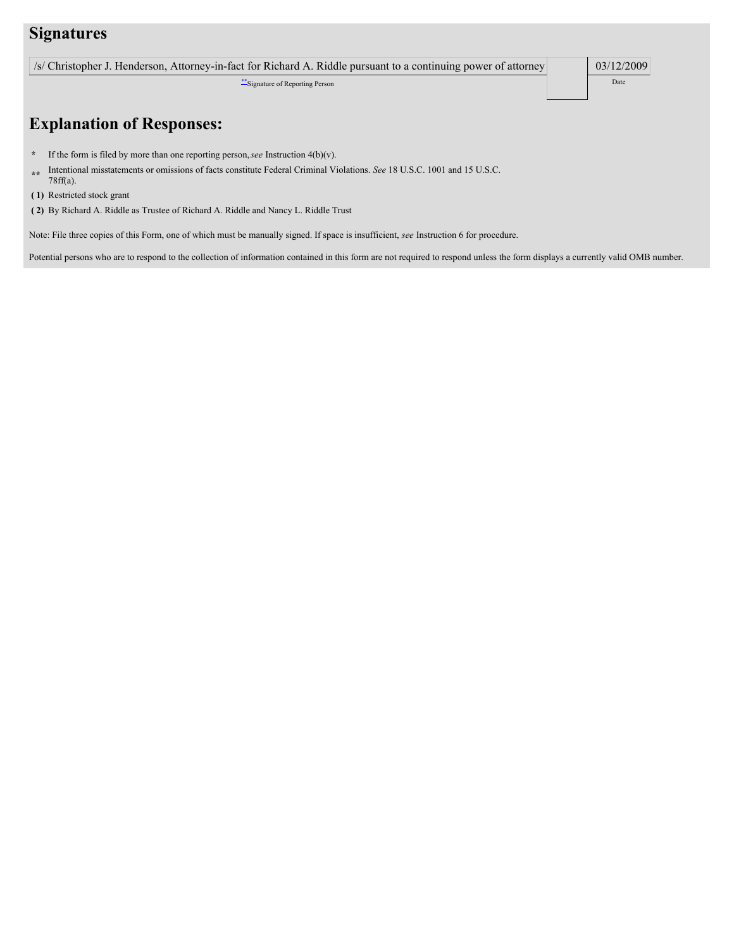### **Signatures**

| /s/ Christopher J. Henderson, Attorney-in-fact for Richard A. Riddle pursuant to a continuing power of attorney |  | 03/12/2009 |
|-----------------------------------------------------------------------------------------------------------------|--|------------|
|-----------------------------------------------------------------------------------------------------------------|--|------------|

\*\*Signature of Reporting Person Date **Date** Date **Date** 

# **Explanation of Responses:**

- **\*** If the form is filed by more than one reporting person,*see* Instruction 4(b)(v).
- **\*\*** Intentional misstatements or omissions of facts constitute Federal Criminal Violations. *See* 18 U.S.C. 1001 and 15 U.S.C. 78ff(a).
- **( 1)** Restricted stock grant
- **( 2)** By Richard A. Riddle as Trustee of Richard A. Riddle and Nancy L. Riddle Trust

Note: File three copies of this Form, one of which must be manually signed. If space is insufficient, *see* Instruction 6 for procedure.

Potential persons who are to respond to the collection of information contained in this form are not required to respond unless the form displays a currently valid OMB number.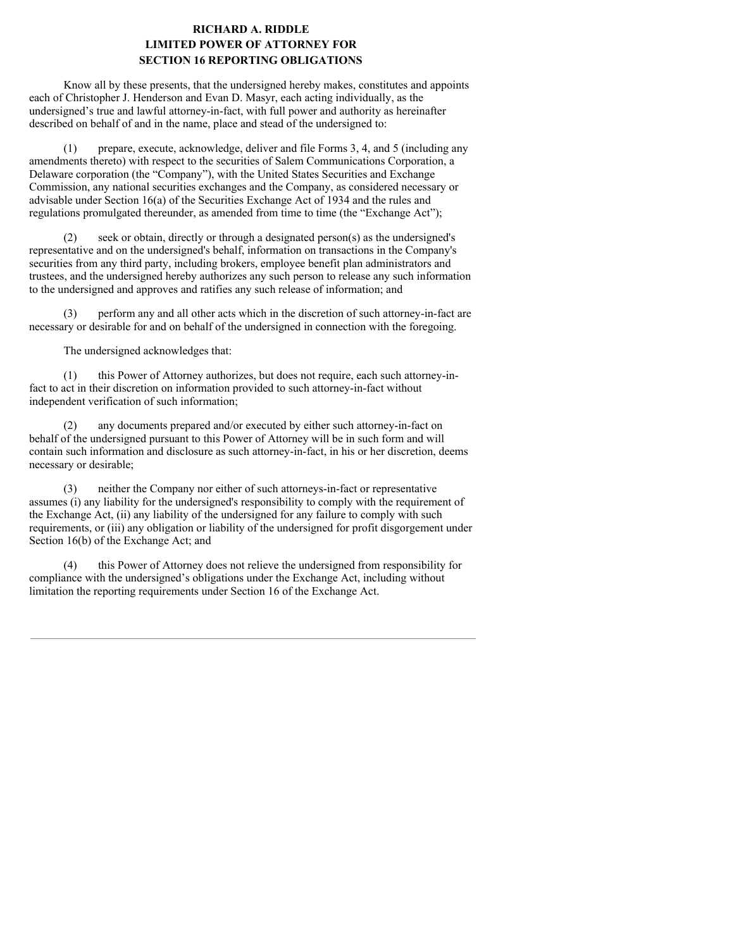### **RICHARD A. RIDDLE LIMITED POWER OF ATTORNEY FOR SECTION 16 REPORTING OBLIGATIONS**

Know all by these presents, that the undersigned hereby makes, constitutes and appoints each of Christopher J. Henderson and Evan D. Masyr, each acting individually, as the undersigned's true and lawful attorney-in-fact, with full power and authority as hereinafter described on behalf of and in the name, place and stead of the undersigned to:

(1) prepare, execute, acknowledge, deliver and file Forms 3, 4, and 5 (including any amendments thereto) with respect to the securities of Salem Communications Corporation, a Delaware corporation (the "Company"), with the United States Securities and Exchange Commission, any national securities exchanges and the Company, as considered necessary or advisable under Section 16(a) of the Securities Exchange Act of 1934 and the rules and regulations promulgated thereunder, as amended from time to time (the "Exchange Act");

(2) seek or obtain, directly or through a designated person(s) as the undersigned's representative and on the undersigned's behalf, information on transactions in the Company's securities from any third party, including brokers, employee benefit plan administrators and trustees, and the undersigned hereby authorizes any such person to release any such information to the undersigned and approves and ratifies any such release of information; and

(3) perform any and all other acts which in the discretion of such attorney-in-fact are necessary or desirable for and on behalf of the undersigned in connection with the foregoing.

The undersigned acknowledges that:

(1) this Power of Attorney authorizes, but does not require, each such attorney-infact to act in their discretion on information provided to such attorney-in-fact without independent verification of such information;

(2) any documents prepared and/or executed by either such attorney-in-fact on behalf of the undersigned pursuant to this Power of Attorney will be in such form and will contain such information and disclosure as such attorney-in-fact, in his or her discretion, deems necessary or desirable;

(3) neither the Company nor either of such attorneys-in-fact or representative assumes (i) any liability for the undersigned's responsibility to comply with the requirement of the Exchange Act, (ii) any liability of the undersigned for any failure to comply with such requirements, or (iii) any obligation or liability of the undersigned for profit disgorgement under Section 16(b) of the Exchange Act; and

(4) this Power of Attorney does not relieve the undersigned from responsibility for compliance with the undersigned's obligations under the Exchange Act, including without limitation the reporting requirements under Section 16 of the Exchange Act.